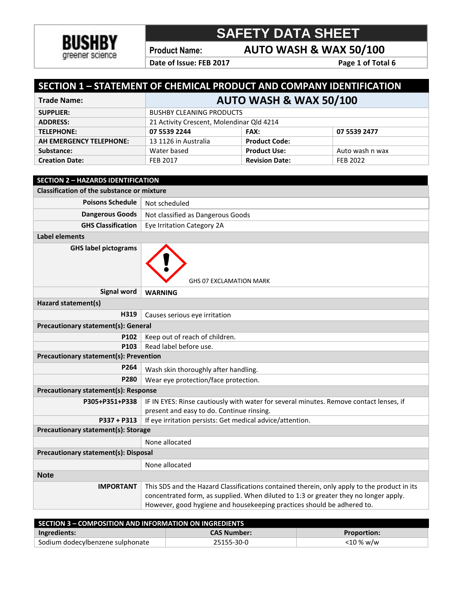

**Product Name: AUTO WASH & WAX 50/100**

Date of Issue: FEB 2017 Page 1 of Total 6

| SECTION 1 - STATEMENT OF CHEMICAL PRODUCT AND COMPANY IDENTIFICATION |                                           |                       |                 |
|----------------------------------------------------------------------|-------------------------------------------|-----------------------|-----------------|
| <b>Trade Name:</b>                                                   | <b>AUTO WASH &amp; WAX 50/100</b>         |                       |                 |
| <b>SUPPLIER:</b>                                                     | <b>BUSHBY CLEANING PRODUCTS</b>           |                       |                 |
| <b>ADDRESS:</b>                                                      | 21 Activity Crescent, Molendinar Qld 4214 |                       |                 |
| <b>TELEPHONE:</b>                                                    | 07 5539 2244                              | <b>FAX:</b>           | 07 5539 2477    |
| AH EMERGENCY TELEPHONE:                                              | 13 1126 in Australia                      | <b>Product Code:</b>  |                 |
| Substance:                                                           | Water based                               | <b>Product Use:</b>   | Auto wash n wax |
| <b>Creation Date:</b>                                                | <b>FEB 2017</b>                           | <b>Revision Date:</b> | FEB 2022        |
|                                                                      |                                           |                       |                 |
| <b>SECTION 2 - HAZARDS IDENTIFICATION</b>                            |                                           |                       |                 |
| <b>Classification of the substance or mixture</b>                    |                                           |                       |                 |

| <b>Poisons Schedule</b>                       | Not scheduled                                                                          |  |  |
|-----------------------------------------------|----------------------------------------------------------------------------------------|--|--|
| <b>Dangerous Goods</b>                        | Not classified as Dangerous Goods                                                      |  |  |
| <b>GHS Classification</b>                     | Eye Irritation Category 2A                                                             |  |  |
| <b>Label elements</b>                         |                                                                                        |  |  |
| <b>GHS label pictograms</b>                   | <b>GHS 07 EXCLAMATION MARK</b>                                                         |  |  |
| <b>Signal word</b>                            | <b>WARNING</b>                                                                         |  |  |
| Hazard statement(s)                           |                                                                                        |  |  |
| H319                                          | Causes serious eye irritation                                                          |  |  |
| <b>Precautionary statement(s): General</b>    |                                                                                        |  |  |
| P102                                          | Keep out of reach of children.                                                         |  |  |
| P <sub>103</sub>                              | Read label before use.                                                                 |  |  |
| <b>Precautionary statement(s): Prevention</b> |                                                                                        |  |  |
| P264                                          | Wash skin thoroughly after handling.                                                   |  |  |
| P280                                          | Wear eye protection/face protection.                                                   |  |  |
| Precautionary statement(s): Response          |                                                                                        |  |  |
| P305+P351+P338                                | IF IN EYES: Rinse cautiously with water for several minutes. Remove contact lenses, if |  |  |
|                                               | present and easy to do. Continue rinsing.                                              |  |  |
| $P337 + P313$                                 | If eye irritation persists: Get medical advice/attention.                              |  |  |
| Precautionary statement(s): Storage           |                                                                                        |  |  |
|                                               | None allocated                                                                         |  |  |
| <b>Precautionary statement(s): Disposal</b>   |                                                                                        |  |  |
|                                               | None allocated                                                                         |  |  |
| <b>Note</b>                                   |                                                                                        |  |  |
|                                               |                                                                                        |  |  |

| Jote             |                                                                                             |
|------------------|---------------------------------------------------------------------------------------------|
| <b>IMPORTANT</b> | This SDS and the Hazard Classifications contained therein, only apply to the product in its |
|                  | concentrated form, as supplied. When diluted to 1:3 or greater they no longer apply.        |
|                  | However, good hygiene and housekeeping practices should be adhered to.                      |
|                  |                                                                                             |

| <b>SECTION 3 - COMPOSITION AND INFORMATION ON INGREDIENTS</b> |                    |                    |
|---------------------------------------------------------------|--------------------|--------------------|
| Ingredients:                                                  | <b>CAS Number:</b> | <b>Proportion:</b> |
| Sodium dodecylbenzene sulphonate                              | 25155-30-0         | <10 % w/w          |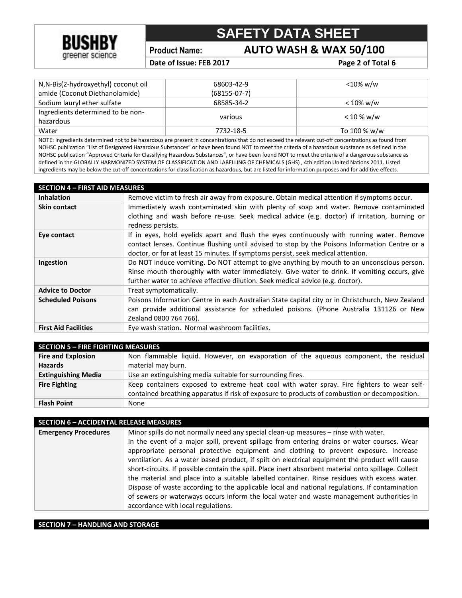

**Product Name: AUTO WASH & WAX 50/100**

Date of Issue: FEB 2017 **Page 2** of Total 6

| N,N-Bis(2-hydroxyethyl) coconut oil | 68603-42-9     | <10% w/w     |
|-------------------------------------|----------------|--------------|
| amide (Coconut Diethanolamide)      | $(68155-07-7)$ |              |
| Sodium lauryl ether sulfate         | 68585-34-2     | $< 10\%$ w/w |
| Ingredients determined to be non-   |                |              |
| hazardous                           | various        | $< 10 %$ w/w |
| Water                               | 7732-18-5      | To 100 % w/w |
|                                     |                |              |

NOTE: Ingredients determined not to be hazardous are present in concentrations that do not exceed the relevant cut-off concentrations as found from NOHSC publication "List of Designated Hazardous Substances" or have been found NOT to meet the criteria of a hazardous substance as defined in the NOHSC publication "Approved Criteria for Classifying Hazardous Substances", or have been found NOT to meet the criteria of a dangerous substance as defined in the GLOBALLY HARMONIZED SYSTEM OF CLASSIFICATION AND LABELLING OF CHEMICALS (GHS) , 4th edition United Nations 2011. Listed ingredients may be below the cut-off concentrations for classification as hazardous, but are listed for information purposes and for additive effects.

| <b>SECTION 4 - FIRST AID MEASURES</b> |                                                                                                  |
|---------------------------------------|--------------------------------------------------------------------------------------------------|
| <b>Inhalation</b>                     | Remove victim to fresh air away from exposure. Obtain medical attention if symptoms occur.       |
| <b>Skin contact</b>                   | Immediately wash contaminated skin with plenty of soap and water. Remove contaminated            |
|                                       | clothing and wash before re-use. Seek medical advice (e.g. doctor) if irritation, burning or     |
|                                       | redness persists.                                                                                |
| Eye contact                           | If in eyes, hold eyelids apart and flush the eyes continuously with running water. Remove        |
|                                       | contact lenses. Continue flushing until advised to stop by the Poisons Information Centre or a   |
|                                       | doctor, or for at least 15 minutes. If symptoms persist, seek medical attention.                 |
| Ingestion                             | Do NOT induce vomiting. Do NOT attempt to give anything by mouth to an unconscious person.       |
|                                       | Rinse mouth thoroughly with water immediately. Give water to drink. If vomiting occurs, give     |
|                                       | further water to achieve effective dilution. Seek medical advice (e.g. doctor).                  |
| <b>Advice to Doctor</b>               | Treat symptomatically.                                                                           |
| <b>Scheduled Poisons</b>              | Poisons Information Centre in each Australian State capital city or in Christchurch, New Zealand |
|                                       | can provide additional assistance for scheduled poisons. (Phone Australia 131126 or New          |
|                                       | Zealand 0800 764 766).                                                                           |
| <b>First Aid Facilities</b>           | Eye wash station. Normal washroom facilities.                                                    |

| <b>SECTION 5 - FIRE FIGHTING MEASURES</b> |                                                                                                                                                                                             |  |
|-------------------------------------------|---------------------------------------------------------------------------------------------------------------------------------------------------------------------------------------------|--|
| <b>Fire and Explosion</b>                 | Non flammable liquid. However, on evaporation of the aqueous component, the residual                                                                                                        |  |
| <b>Hazards</b>                            | material may burn.                                                                                                                                                                          |  |
| <b>Extinguishing Media</b>                | Use an extinguishing media suitable for surrounding fires.                                                                                                                                  |  |
| <b>Fire Fighting</b>                      | Keep containers exposed to extreme heat cool with water spray. Fire fighters to wear self-<br>contained breathing apparatus if risk of exposure to products of combustion or decomposition. |  |
| <b>Flash Point</b>                        | None                                                                                                                                                                                        |  |

#### **SECTION 6 – ACCIDENTAL RELEASE MEASURES**

| <b>Emergency Procedures</b> | Minor spills do not normally need any special clean-up measures - rinse with water.<br>In the event of a major spill, prevent spillage from entering drains or water courses. Wear<br>appropriate personal protective equipment and clothing to prevent exposure. Increase<br>ventilation. As a water based product, if spilt on electrical equipment the product will cause |
|-----------------------------|------------------------------------------------------------------------------------------------------------------------------------------------------------------------------------------------------------------------------------------------------------------------------------------------------------------------------------------------------------------------------|
|                             | short-circuits. If possible contain the spill. Place inert absorbent material onto spillage. Collect                                                                                                                                                                                                                                                                         |
|                             | the material and place into a suitable labelled container. Rinse residues with excess water.                                                                                                                                                                                                                                                                                 |
|                             | Dispose of waste according to the applicable local and national regulations. If contamination                                                                                                                                                                                                                                                                                |
|                             | of sewers or waterways occurs inform the local water and waste management authorities in                                                                                                                                                                                                                                                                                     |
|                             | accordance with local regulations.                                                                                                                                                                                                                                                                                                                                           |

#### **SECTION 7 – HANDLING AND STORAGE**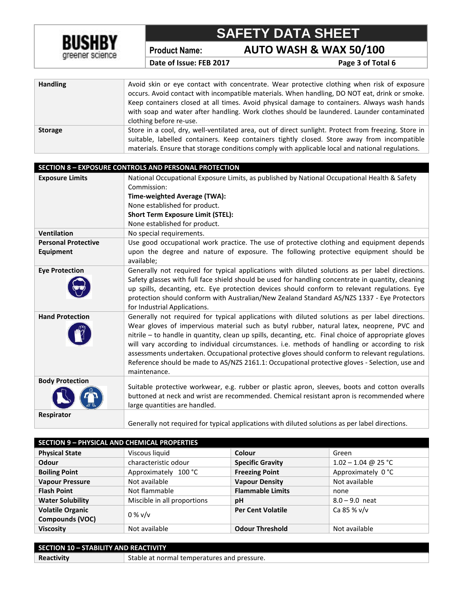

**Product Name: AUTO WASH & WAX 50/100**

**Date of Issue: FEB 2017** Page 3 of Total 6

| <b>Handling</b> | Avoid skin or eye contact with concentrate. Wear protective clothing when risk of exposure<br>occurs. Avoid contact with incompatible materials. When handling, DO NOT eat, drink or smoke.<br>Keep containers closed at all times. Avoid physical damage to containers. Always wash hands<br>with soap and water after handling. Work clothes should be laundered. Launder contaminated<br>clothing before re-use. |
|-----------------|---------------------------------------------------------------------------------------------------------------------------------------------------------------------------------------------------------------------------------------------------------------------------------------------------------------------------------------------------------------------------------------------------------------------|
| <b>Storage</b>  | Store in a cool, dry, well-ventilated area, out of direct sunlight. Protect from freezing. Store in<br>suitable, labelled containers. Keep containers tightly closed. Store away from incompatible<br>materials. Ensure that storage conditions comply with applicable local and national regulations.                                                                                                              |

|                                                | <b>SECTION 8 - EXPOSURE CONTROLS AND PERSONAL PROTECTION</b>                                                                                                                                                                                                                                                                                                                                                                                                                                                                                                                                                               |
|------------------------------------------------|----------------------------------------------------------------------------------------------------------------------------------------------------------------------------------------------------------------------------------------------------------------------------------------------------------------------------------------------------------------------------------------------------------------------------------------------------------------------------------------------------------------------------------------------------------------------------------------------------------------------------|
| <b>Exposure Limits</b>                         | National Occupational Exposure Limits, as published by National Occupational Health & Safety                                                                                                                                                                                                                                                                                                                                                                                                                                                                                                                               |
|                                                | Commission:                                                                                                                                                                                                                                                                                                                                                                                                                                                                                                                                                                                                                |
|                                                | Time-weighted Average (TWA):                                                                                                                                                                                                                                                                                                                                                                                                                                                                                                                                                                                               |
|                                                | None established for product.                                                                                                                                                                                                                                                                                                                                                                                                                                                                                                                                                                                              |
|                                                | <b>Short Term Exposure Limit (STEL):</b>                                                                                                                                                                                                                                                                                                                                                                                                                                                                                                                                                                                   |
|                                                | None established for product.                                                                                                                                                                                                                                                                                                                                                                                                                                                                                                                                                                                              |
| <b>Ventilation</b>                             | No special requirements.                                                                                                                                                                                                                                                                                                                                                                                                                                                                                                                                                                                                   |
| <b>Personal Protective</b><br><b>Equipment</b> | Use good occupational work practice. The use of protective clothing and equipment depends<br>upon the degree and nature of exposure. The following protective equipment should be<br>available;                                                                                                                                                                                                                                                                                                                                                                                                                            |
| <b>Eye Protection</b>                          | Generally not required for typical applications with diluted solutions as per label directions.<br>Safety glasses with full face shield should be used for handling concentrate in quantity, cleaning<br>up spills, decanting, etc. Eye protection devices should conform to relevant regulations. Eye<br>protection should conform with Australian/New Zealand Standard AS/NZS 1337 - Eye Protectors<br>for Industrial Applications.                                                                                                                                                                                      |
| <b>Hand Protection</b>                         | Generally not required for typical applications with diluted solutions as per label directions.<br>Wear gloves of impervious material such as butyl rubber, natural latex, neoprene, PVC and<br>nitrile - to handle in quantity, clean up spills, decanting, etc. Final choice of appropriate gloves<br>will vary according to individual circumstances. i.e. methods of handling or according to risk<br>assessments undertaken. Occupational protective gloves should conform to relevant regulations.<br>Reference should be made to AS/NZS 2161.1: Occupational protective gloves - Selection, use and<br>maintenance. |
| <b>Body Protection</b>                         | Suitable protective workwear, e.g. rubber or plastic apron, sleeves, boots and cotton overalls<br>buttoned at neck and wrist are recommended. Chemical resistant apron is recommended where<br>large quantities are handled.                                                                                                                                                                                                                                                                                                                                                                                               |
| Respirator                                     | Generally not required for typical applications with diluted solutions as per label directions.                                                                                                                                                                                                                                                                                                                                                                                                                                                                                                                            |

| <b>SECTION 9 - PHYSICAL AND CHEMICAL PROPERTIES</b> |                             |                          |                       |
|-----------------------------------------------------|-----------------------------|--------------------------|-----------------------|
| <b>Physical State</b>                               | Viscous liquid              | Colour                   | Green                 |
| <b>Odour</b>                                        | characteristic odour        | <b>Specific Gravity</b>  | $1.02 - 1.04$ @ 25 °C |
| <b>Boiling Point</b>                                | Approximately 100 °C        | <b>Freezing Point</b>    | Approximately 0 °C    |
| <b>Vapour Pressure</b>                              | Not available               | <b>Vapour Density</b>    | Not available         |
| <b>Flash Point</b>                                  | Not flammable               | <b>Flammable Limits</b>  | none                  |
| <b>Water Solubility</b>                             | Miscible in all proportions | pH                       | $8.0 - 9.0$ neat      |
| <b>Volatile Organic</b>                             | $0\%$ v/v                   | <b>Per Cent Volatile</b> | Ca 85 % v/v           |
| Compounds (VOC)                                     |                             |                          |                       |
| <b>Viscosity</b>                                    | Not available               | <b>Odour Threshold</b>   | Not available         |

| <b>SECTION 10 - STABILITY AND REACTIVITY</b> |                                             |  |
|----------------------------------------------|---------------------------------------------|--|
| Reactivity                                   | Stable at normal temperatures and pressure. |  |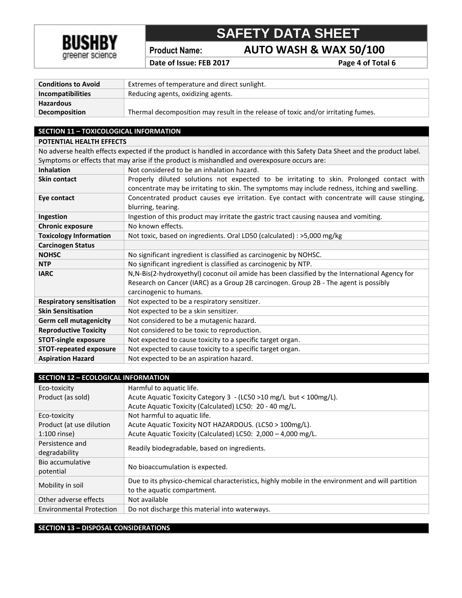

**Product Name: AUTO WASH & WAX 50/100**

Date of Issue: FEB 2017 **Page 4 of Total 6** 

| Extremes of temperature and direct sunlight.                                      |  |
|-----------------------------------------------------------------------------------|--|
| Reducing agents, oxidizing agents.                                                |  |
|                                                                                   |  |
| Thermal decomposition may result in the release of toxic and/or irritating fumes. |  |
|                                                                                   |  |

### **SECTION 11 – TOXICOLOGICAL INFORMATION POTENTIAL HEALTH EFFECTS**

No adverse health effects expected if the product is handled in accordance with this Safety Data Sheet and the product label. Symptoms or effects that may arise if the product is mishandled and overexposure occurs are:

| <b>Inhalation</b>                | Not considered to be an inhalation hazard.                                                     |
|----------------------------------|------------------------------------------------------------------------------------------------|
| Skin contact                     | Properly diluted solutions not expected to be irritating to skin. Prolonged contact with       |
|                                  | concentrate may be irritating to skin. The symptoms may include redness, itching and swelling. |
| Eye contact                      | Concentrated product causes eye irritation. Eye contact with concentrate will cause stinging,  |
|                                  | blurring, tearing.                                                                             |
| Ingestion                        | Ingestion of this product may irritate the gastric tract causing nausea and vomiting.          |
| <b>Chronic exposure</b>          | No known effects.                                                                              |
| <b>Toxicology Information</b>    | Not toxic, based on ingredients. Oral LD50 (calculated) : >5,000 mg/kg                         |
| <b>Carcinogen Status</b>         |                                                                                                |
| <b>NOHSC</b>                     | No significant ingredient is classified as carcinogenic by NOHSC.                              |
| <b>NTP</b>                       | No significant ingredient is classified as carcinogenic by NTP.                                |
| <b>IARC</b>                      | N, N-Bis(2-hydroxyethyl) coconut oil amide has been classified by the International Agency for |
|                                  | Research on Cancer (IARC) as a Group 2B carcinogen. Group 2B - The agent is possibly           |
|                                  | carcinogenic to humans.                                                                        |
| <b>Respiratory sensitisation</b> | Not expected to be a respiratory sensitizer.                                                   |
| <b>Skin Sensitisation</b>        | Not expected to be a skin sensitizer.                                                          |
| <b>Germ cell mutagenicity</b>    | Not considered to be a mutagenic hazard.                                                       |
| <b>Reproductive Toxicity</b>     | Not considered to be toxic to reproduction.                                                    |
| <b>STOT-single exposure</b>      | Not expected to cause toxicity to a specific target organ.                                     |
| <b>STOT-repeated exposure</b>    | Not expected to cause toxicity to a specific target organ.                                     |
| <b>Aspiration Hazard</b>         | Not expected to be an aspiration hazard.                                                       |

| <b>SECTION 12 - ECOLOGICAL INFORMATION</b> |                                                                                                  |  |
|--------------------------------------------|--------------------------------------------------------------------------------------------------|--|
| Eco-toxicity                               | Harmful to aquatic life.                                                                         |  |
| Product (as sold)                          | Acute Aquatic Toxicity Category 3 - (LC50 >10 mg/L but < 100mg/L).                               |  |
|                                            | Acute Aquatic Toxicity (Calculated) LC50: 20 - 40 mg/L.                                          |  |
| Eco-toxicity                               | Not harmful to aquatic life.                                                                     |  |
| Product (at use dilution                   | Acute Aquatic Toxicity NOT HAZARDOUS. (LC50 > 100mg/L).                                          |  |
| 1:100 rinse)                               | Acute Aquatic Toxicity (Calculated) LC50: 2,000 - 4,000 mg/L.                                    |  |
| Persistence and                            | Readily biodegradable, based on ingredients.                                                     |  |
| degradability                              |                                                                                                  |  |
| Bio accumulative                           | No bioaccumulation is expected.                                                                  |  |
| potential                                  |                                                                                                  |  |
| Mobility in soil                           | Due to its physico-chemical characteristics, highly mobile in the environment and will partition |  |
|                                            | to the aquatic compartment.                                                                      |  |
| Other adverse effects                      | Not available                                                                                    |  |
| <b>Environmental Protection</b>            | Do not discharge this material into waterways.                                                   |  |

#### **SECTION 13 – DISPOSAL CONSIDERATIONS**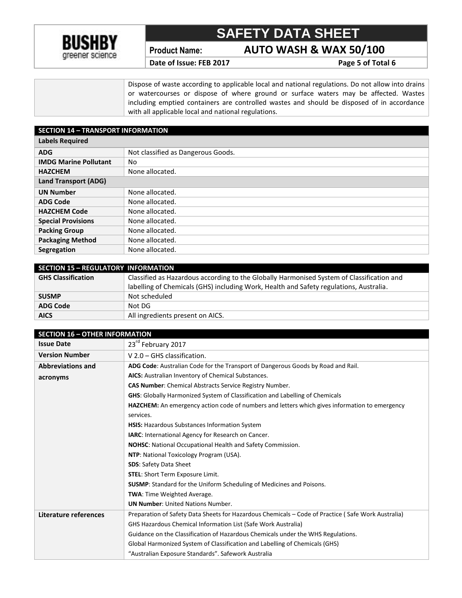

**Product Name: AUTO WASH & WAX 50/100**

Date of Issue: FEB 2017 **Page 5** of Total 6

Dispose of waste according to applicable local and national regulations. Do not allow into drains or watercourses or dispose of where ground or surface waters may be affected. Wastes including emptied containers are controlled wastes and should be disposed of in accordance with all applicable local and national regulations.

| <b>SECTION 14 - TRANSPORT INFORMATION</b> |                                    |  |
|-------------------------------------------|------------------------------------|--|
| <b>Labels Required</b>                    |                                    |  |
| <b>ADG</b>                                | Not classified as Dangerous Goods. |  |
| <b>IMDG Marine Pollutant</b>              | No                                 |  |
| <b>HAZCHEM</b>                            | None allocated.                    |  |
| <b>Land Transport (ADG)</b>               |                                    |  |
| <b>UN Number</b>                          | None allocated.                    |  |
| <b>ADG Code</b>                           | None allocated.                    |  |
| <b>HAZCHEM Code</b>                       | None allocated.                    |  |
| <b>Special Provisions</b>                 | None allocated.                    |  |
| <b>Packing Group</b>                      | None allocated.                    |  |
| <b>Packaging Method</b>                   | None allocated.                    |  |
| Segregation                               | None allocated.                    |  |

| <b>SECTION 15 - REGULATORY INFORMATION</b> |                                                                                           |
|--------------------------------------------|-------------------------------------------------------------------------------------------|
| <b>GHS Classification</b>                  | Classified as Hazardous according to the Globally Harmonised System of Classification and |
|                                            | labelling of Chemicals (GHS) including Work, Health and Safety regulations, Australia.    |
| <b>SUSMP</b>                               | Not scheduled                                                                             |
| <b>ADG Code</b>                            | Not DG                                                                                    |
| <b>AICS</b>                                | All ingredients present on AICS.                                                          |

| <b>SECTION 16 - OTHER INFORMATION</b> |                                                                                                    |
|---------------------------------------|----------------------------------------------------------------------------------------------------|
| <b>Issue Date</b>                     | 23rd February 2017                                                                                 |
| <b>Version Number</b>                 | $V$ 2.0 – GHS classification.                                                                      |
| <b>Abbreviations and</b>              | ADG Code: Australian Code for the Transport of Dangerous Goods by Road and Rail.                   |
| acronyms                              | AICS: Australian Inventory of Chemical Substances.                                                 |
|                                       | <b>CAS Number:</b> Chemical Abstracts Service Registry Number.                                     |
|                                       | <b>GHS:</b> Globally Harmonized System of Classification and Labelling of Chemicals                |
|                                       | HAZCHEM: An emergency action code of numbers and letters which gives information to emergency      |
|                                       | services.                                                                                          |
|                                       | HSIS: Hazardous Substances Information System                                                      |
|                                       | IARC: International Agency for Research on Cancer.                                                 |
|                                       | NOHSC: National Occupational Health and Safety Commission.                                         |
|                                       | NTP: National Toxicology Program (USA).                                                            |
|                                       | <b>SDS: Safety Data Sheet</b>                                                                      |
|                                       | <b>STEL:</b> Short Term Exposure Limit.                                                            |
|                                       | <b>SUSMP:</b> Standard for the Uniform Scheduling of Medicines and Poisons.                        |
|                                       | TWA: Time Weighted Average.                                                                        |
|                                       | <b>UN Number: United Nations Number.</b>                                                           |
| Literature references                 | Preparation of Safety Data Sheets for Hazardous Chemicals - Code of Practice (Safe Work Australia) |
|                                       | <b>GHS Hazardous Chemical Information List (Safe Work Australia)</b>                               |
|                                       | Guidance on the Classification of Hazardous Chemicals under the WHS Regulations.                   |
|                                       | Global Harmonized System of Classification and Labelling of Chemicals (GHS)                        |
|                                       | "Australian Exposure Standards". Safework Australia                                                |